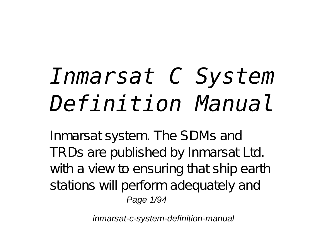# *Inmarsat C System Definition Manual*

Inmarsat system. The SDMs and TRDs are published by Inmarsat Ltd. with a view to ensuring that ship earth stations will perform adequately and Page 1/94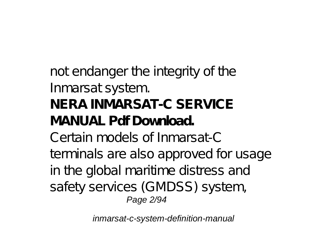not endanger the integrity of the Inmarsat system. **NERA INMARSAT-C SERVICE MANUAL Pdf Download.** Certain models of Inmarsat-C terminals are also approved for usage in the global maritime distress and safety services (GMDSS) system, Page 2/94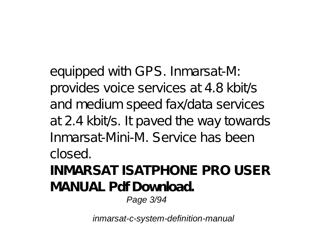equipped with GPS. Inmarsat-M: provides voice services at 4.8 kbit/s and medium speed fax/data services at 2.4 kbit/s. It paved the way towards Inmarsat-Mini-M. Service has been closed.

**INMARSAT ISATPHONE PRO USER MANUAL Pdf Download.** Page 3/94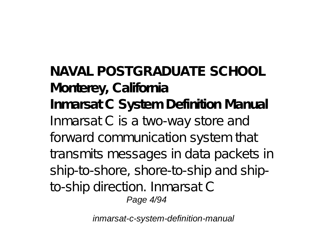**NAVAL POSTGRADUATE SCHOOL Monterey, California Inmarsat C System Definition Manual** Inmarsat C is a two-way store and forward communication system that transmits messages in data packets in ship-to-shore, shore-to-ship and shipto-ship direction. Inmarsat C Page 4/94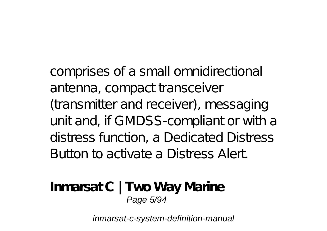comprises of a small omnidirectional antenna, compact transceiver (transmitter and receiver), messaging unit and, if GMDSS-compliant or with a distress function, a Dedicated Distress Button to activate a Distress Alert.

**Inmarsat C | Two Way Marine** Page 5/94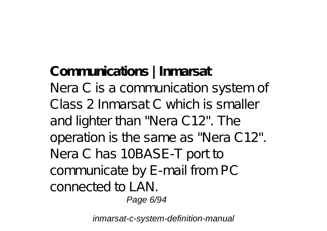**Communications | Inmarsat** Nera C is a communication system of Class 2 Inmarsat C which is smaller and lighter than "Nera C12". The operation is the same as "Nera C12". Nera C has 10BASE-T port to communicate by E-mail from PC connected to LAN.

Page 6/94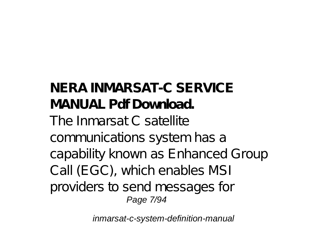**NERA INMARSAT-C SERVICE MANUAL Pdf Download.** The Inmarsat C satellite communications system has a capability known as Enhanced Group Call (EGC), which enables MSI providers to send messages for Page 7/94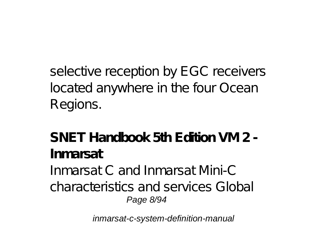selective reception by EGC receivers located anywhere in the four Ocean Regions.

**SNET Handbook 5th Edition VM 2 - Inmarsat** Inmarsat C and Inmarsat Mini-C characteristics and services Global Page 8/94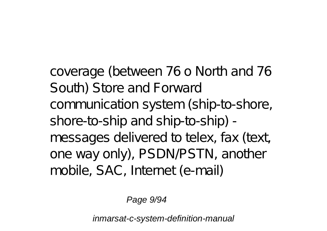coverage (between 76 o North and 76 South) Store and Forward communication system (ship-to-shore, shore-to-ship and ship-to-ship) messages delivered to telex, fax (text, one way only), PSDN/PSTN, another mobile, SAC, Internet (e-mail)

Page 9/94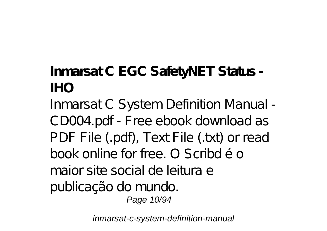# **Inmarsat C EGC SafetyNET Status - IHO**

Inmarsat C System Definition Manual - CD004.pdf - Free ebook download as PDF File (.pdf), Text File (.txt) or read book online for free. O Scribd é o maior site social de leitura e publicação do mundo. Page 10/94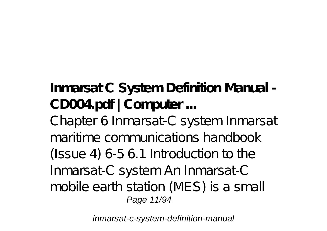**Inmarsat C System Definition Manual - CD004.pdf | Computer ...**

Chapter 6 Inmarsat-C system Inmarsat maritime communications handbook (Issue 4) 6-5 6.1 Introduction to the Inmarsat-C system An Inmarsat-C mobile earth station (MES) is a small Page 11/94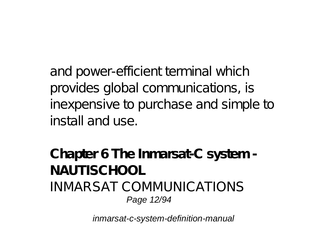and power-efficient terminal which provides global communications, is inexpensive to purchase and simple to install and use.

**Chapter 6 The Inmarsat-C system - NAUTISCHOOL** INMARSAT COMMUNICATIONS Page 12/94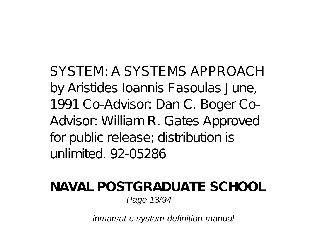SYSTEM: A SYSTEMS APPROACH by Aristides Ioannis Fasoulas June, 1991 Co-Advisor: Dan C. Boger Co-Advisor: William R. Gates Approved for public release; distribution is unlimited. 92-05286

#### **NAVAL POSTGRADUATE SCHOOL** Page 13/94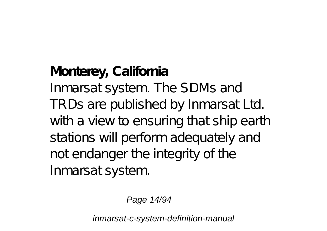**Monterey, California** Inmarsat system. The SDMs and TRDs are published by Inmarsat Ltd. with a view to ensuring that ship earth stations will perform adequately and not endanger the integrity of the Inmarsat system.

Page 14/94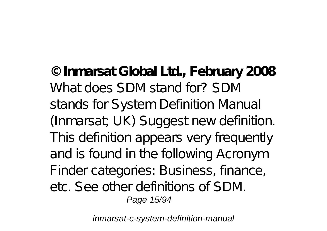**© Inmarsat Global Ltd., February 2008** What does SDM stand for? SDM stands for System Definition Manual (Inmarsat; UK) Suggest new definition. This definition appears very frequently and is found in the following Acronym Finder categories: Business, finance, etc. See other definitions of SDM. Page 15/94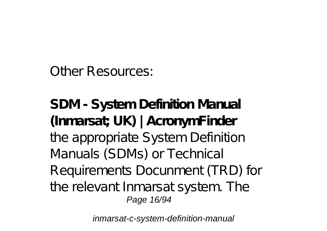Other Resources:

**SDM - System Definition Manual (Inmarsat; UK) | AcronymFinder** the appropriate System Definition Manuals (SDMs) or Technical Requirements Docunment (TRD) for the relevant Inmarsat system. The Page 16/94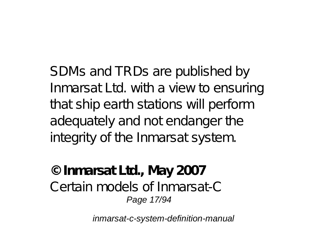SDMs and TRDs are published by Inmarsat Ltd. with a view to ensuring that ship earth stations will perform adequately and not endanger the integrity of the Inmarsat system.

**© Inmarsat Ltd., May 2007** Certain models of Inmarsat-C Page 17/94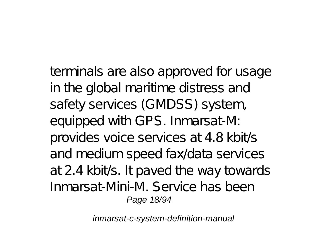terminals are also approved for usage in the global maritime distress and safety services (GMDSS) system, equipped with GPS. Inmarsat-M: provides voice services at 4.8 kbit/s and medium speed fax/data services at 2.4 kbit/s. It paved the way towards Inmarsat-Mini-M. Service has been Page 18/94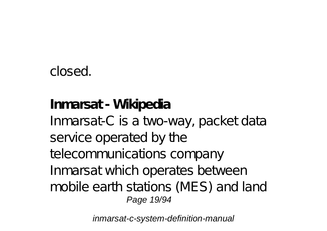## closed.

## **Inmarsat - Wikipedia** Inmarsat-C is a two-way, packet data service operated by the telecommunications company Inmarsat which operates between mobile earth stations (MES) and land Page 19/94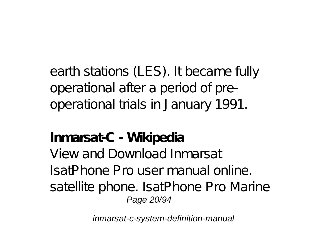earth stations (LES). It became fully operational after a period of preoperational trials in January 1991.

## **Inmarsat-C - Wikipedia**

View and Download Inmarsat IsatPhone Pro user manual online. satellite phone. IsatPhone Pro Marine Page 20/94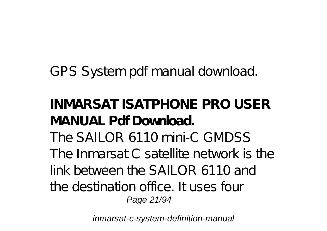GPS System pdf manual download.

**INMARSAT ISATPHONE PRO USER MANUAL Pdf Download.** The SAILOR 6110 mini-C GMDSS The Inmarsat C satellite network is the link between the SAILOR 6110 and the destination office. It uses four Page 21/94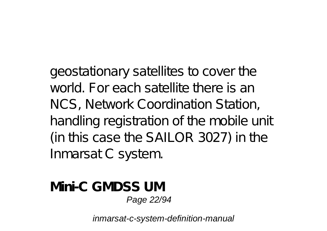geostationary satellites to cover the world. For each satellite there is an NCS, Network Coordination Station, handling registration of the mobile unit (in this case the SAILOR 3027) in the Inmarsat C system.

**Mini-C GMDSS UM** Page 22/94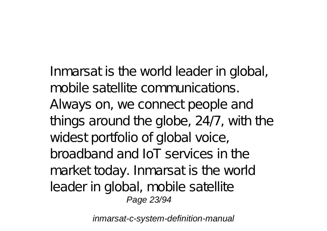Inmarsat is the world leader in global, mobile satellite communications. Always on, we connect people and things around the globe, 24/7, with the widest portfolio of global voice, broadband and IoT services in the market today. Inmarsat is the world leader in global, mobile satellite Page 23/94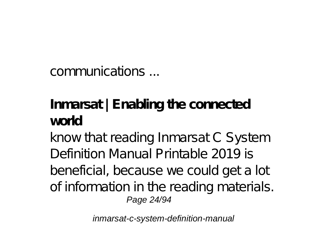communications ...

# **Inmarsat | Enabling the connected world**

know that reading Inmarsat C System Definition Manual Printable 2019 is beneficial, because we could get a lot of information in the reading materials. Page 24/94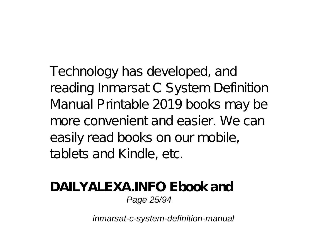Technology has developed, and reading Inmarsat C System Definition Manual Printable 2019 books may be more convenient and easier. We can easily read books on our mobile, tablets and Kindle, etc.

#### **DAILYALEXA.INFO Ebook and** Page 25/94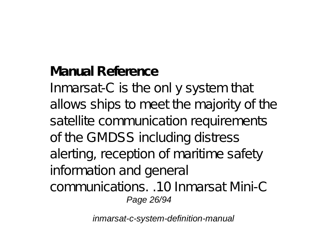**Manual Reference** Inmarsat-C is the onl y system that allows ships to meet the majority of the satellite communication requirements of the GMDSS including distress alerting, reception of maritime safety information and general communications. .10 Inmarsat Mini-C Page 26/94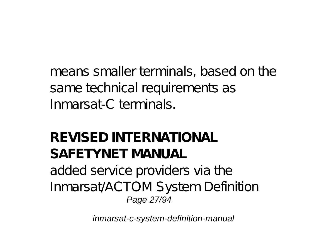means smaller terminals, based on the same technical requirements as Inmarsat-C terminals.

## **REVISED INTERNATIONAL SAFETYNET MANUAL** added service providers via the Inmarsat/ACTOM System Definition Page 27/94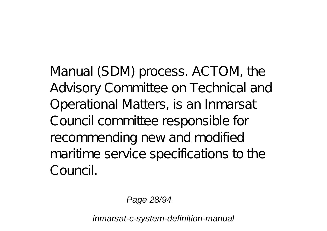Manual (SDM) process. ACTOM, the Advisory Committee on Technical and Operational Matters, is an Inmarsat Council committee responsible for recommending new and modified maritime service specifications to the Council.

Page 28/94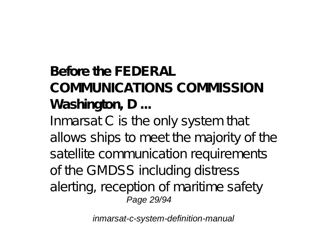# **Before the FEDERAL COMMUNICATIONS COMMISSION Washington, D ...** Inmarsat C is the only system that allows ships to meet the majority of the

satellite communication requirements of the GMDSS including distress alerting, reception of maritime safety Page 29/94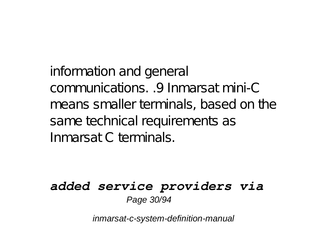information and general communications. .9 Inmarsat mini-C means smaller terminals, based on the same technical requirements as Inmarsat C terminals.

#### *added service providers via* Page 30/94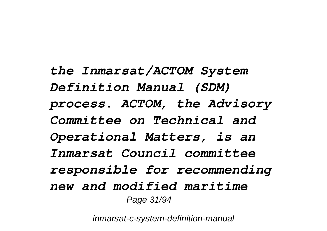*the Inmarsat/ACTOM System Definition Manual (SDM) process. ACTOM, the Advisory Committee on Technical and Operational Matters, is an Inmarsat Council committee responsible for recommending new and modified maritime* Page 31/94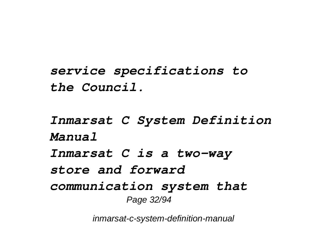*service specifications to the Council.*

*Inmarsat C System Definition Manual Inmarsat C is a two-way store and forward communication system that* Page 32/94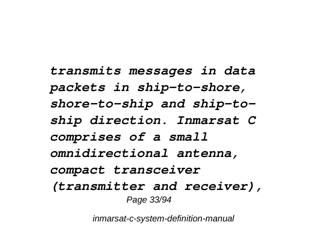*transmits messages in data packets in ship-to-shore, shore-to-ship and ship-toship direction. Inmarsat C comprises of a small omnidirectional antenna, compact transceiver (transmitter and receiver),* Page 33/94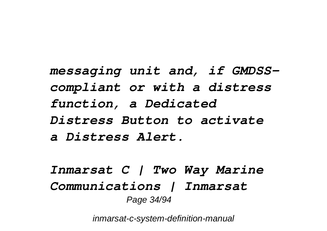*messaging unit and, if GMDSScompliant or with a distress function, a Dedicated Distress Button to activate a Distress Alert.*

*Inmarsat C | Two Way Marine Communications | Inmarsat* Page 34/94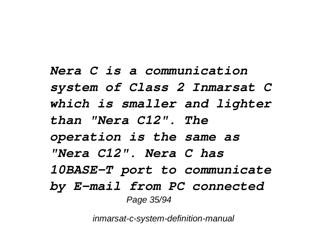*Nera C is a communication system of Class 2 Inmarsat C which is smaller and lighter than "Nera C12". The operation is the same as "Nera C12". Nera C has 10BASE-T port to communicate by E-mail from PC connected* Page 35/94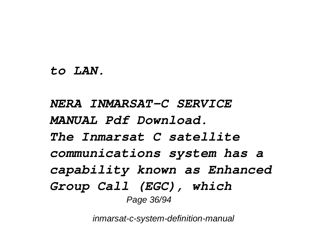#### *to LAN.*

*NERA INMARSAT-C SERVICE MANUAL Pdf Download. The Inmarsat C satellite communications system has a capability known as Enhanced Group Call (EGC), which* Page 36/94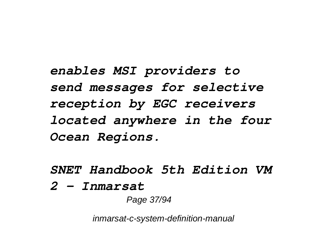*enables MSI providers to send messages for selective reception by EGC receivers located anywhere in the four Ocean Regions.*

*SNET Handbook 5th Edition VM*

*2 - Inmarsat*

Page 37/94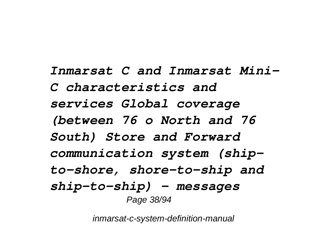*Inmarsat C and Inmarsat Mini-C characteristics and services Global coverage (between 76 o North and 76 South) Store and Forward communication system (shipto-shore, shore-to-ship and ship-to-ship) - messages* Page 38/94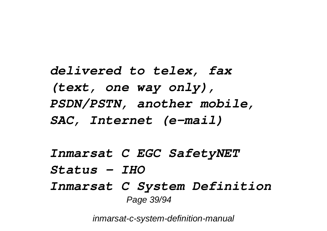*delivered to telex, fax (text, one way only), PSDN/PSTN, another mobile, SAC, Internet (e-mail)*

*Inmarsat C EGC SafetyNET Status - IHO Inmarsat C System Definition* Page 39/94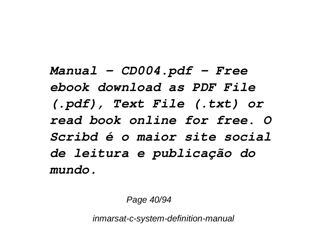*Manual - CD004.pdf - Free ebook download as PDF File (.pdf), Text File (.txt) or read book online for free. O Scribd é o maior site social de leitura e publicação do mundo.*

Page 40/94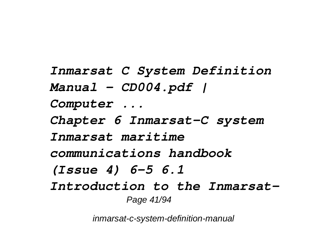*Inmarsat C System Definition Manual - CD004.pdf | Computer ... Chapter 6 Inmarsat-C system Inmarsat maritime communications handbook (Issue 4) 6-5 6.1 Introduction to the Inmarsat-*Page 41/94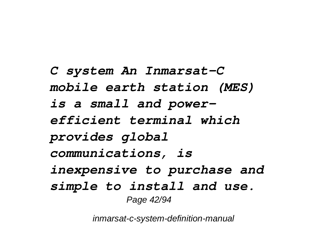*C system An Inmarsat-C mobile earth station (MES) is a small and powerefficient terminal which provides global communications, is inexpensive to purchase and simple to install and use.* Page 42/94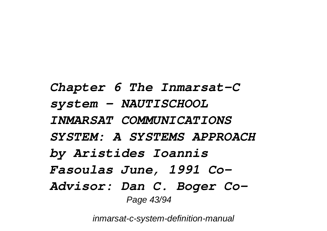*Chapter 6 The Inmarsat-C system - NAUTISCHOOL INMARSAT COMMUNICATIONS SYSTEM: A SYSTEMS APPROACH by Aristides Ioannis Fasoulas June, 1991 Co-Advisor: Dan C. Boger Co-*Page 43/94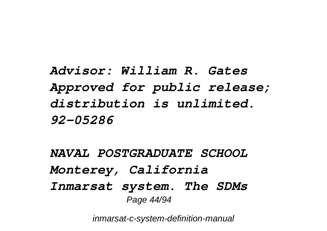*Advisor: William R. Gates Approved for public release; distribution is unlimited. 92-05286*

*NAVAL POSTGRADUATE SCHOOL Monterey, California Inmarsat system. The SDMs* Page 44/94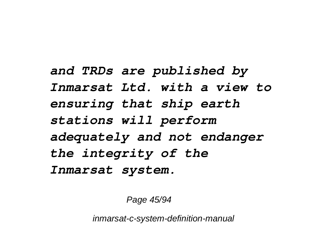*and TRDs are published by Inmarsat Ltd. with a view to ensuring that ship earth stations will perform adequately and not endanger the integrity of the Inmarsat system.*

Page 45/94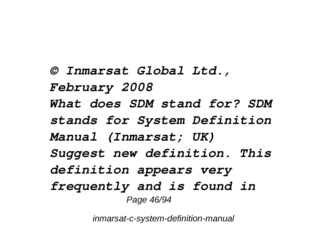*© Inmarsat Global Ltd., February 2008 What does SDM stand for? SDM stands for System Definition Manual (Inmarsat; UK) Suggest new definition. This definition appears very frequently and is found in* Page 46/94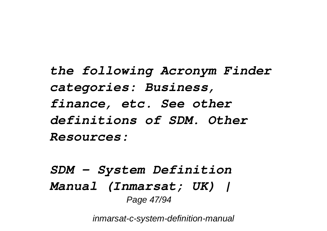*the following Acronym Finder categories: Business, finance, etc. See other definitions of SDM. Other Resources:*

*SDM - System Definition Manual (Inmarsat; UK) |* Page 47/94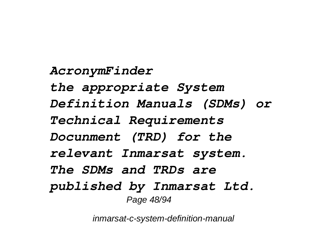*AcronymFinder the appropriate System Definition Manuals (SDMs) or Technical Requirements Docunment (TRD) for the relevant Inmarsat system. The SDMs and TRDs are published by Inmarsat Ltd.* Page 48/94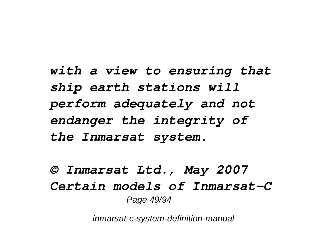*with a view to ensuring that ship earth stations will perform adequately and not endanger the integrity of the Inmarsat system.*

*© Inmarsat Ltd., May 2007 Certain models of Inmarsat-C* Page 49/94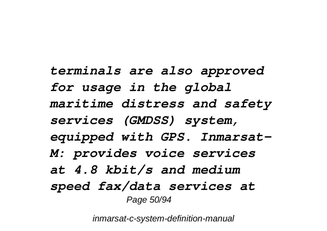*terminals are also approved for usage in the global maritime distress and safety services (GMDSS) system, equipped with GPS. Inmarsat-M: provides voice services at 4.8 kbit/s and medium speed fax/data services at* Page 50/94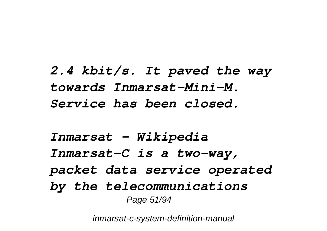*2.4 kbit/s. It paved the way towards Inmarsat-Mini-M. Service has been closed.*

*Inmarsat - Wikipedia Inmarsat-C is a two-way, packet data service operated by the telecommunications* Page 51/94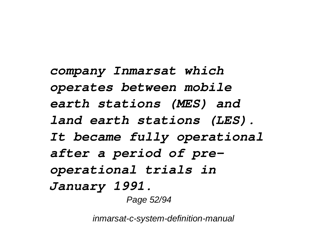*company Inmarsat which operates between mobile earth stations (MES) and land earth stations (LES). It became fully operational after a period of preoperational trials in January 1991.* Page 52/94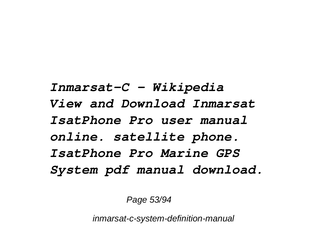*Inmarsat-C - Wikipedia View and Download Inmarsat IsatPhone Pro user manual online. satellite phone. IsatPhone Pro Marine GPS System pdf manual download.*

Page 53/94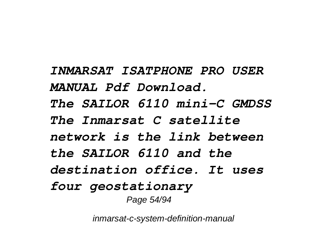*INMARSAT ISATPHONE PRO USER MANUAL Pdf Download. The SAILOR 6110 mini-C GMDSS The Inmarsat C satellite network is the link between the SAILOR 6110 and the destination office. It uses four geostationary* Page 54/94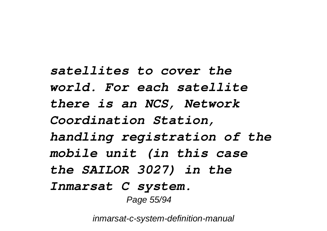*satellites to cover the world. For each satellite there is an NCS, Network Coordination Station, handling registration of the mobile unit (in this case the SAILOR 3027) in the Inmarsat C system.* Page 55/94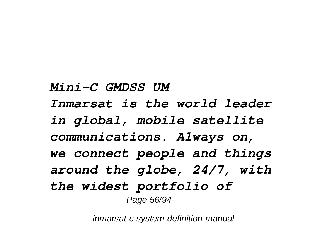*Mini-C GMDSS UM Inmarsat is the world leader in global, mobile satellite communications. Always on, we connect people and things around the globe, 24/7, with the widest portfolio of* Page 56/94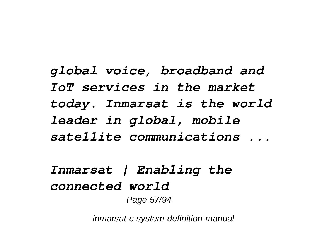*global voice, broadband and IoT services in the market today. Inmarsat is the world leader in global, mobile satellite communications ...*

*Inmarsat | Enabling the connected world* Page 57/94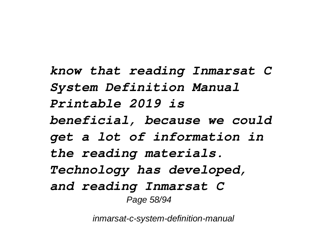*know that reading Inmarsat C System Definition Manual Printable 2019 is beneficial, because we could get a lot of information in the reading materials. Technology has developed, and reading Inmarsat C* Page 58/94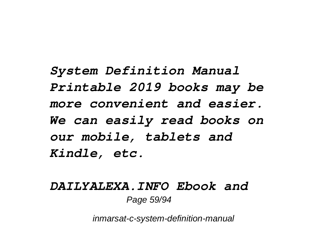*System Definition Manual Printable 2019 books may be more convenient and easier. We can easily read books on our mobile, tablets and Kindle, etc.*

### *DAILYALEXA.INFO Ebook and* Page 59/94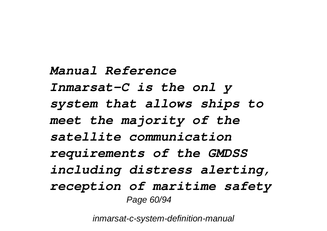*Manual Reference Inmarsat-C is the onl y system that allows ships to meet the majority of the satellite communication requirements of the GMDSS including distress alerting, reception of maritime safety* Page 60/94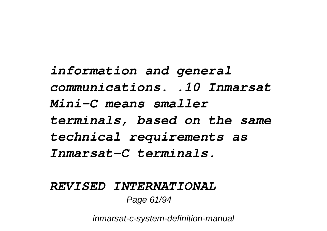*information and general communications. .10 Inmarsat Mini-C means smaller terminals, based on the same technical requirements as Inmarsat-C terminals.*

#### *REVISED INTERNATIONAL* Page 61/94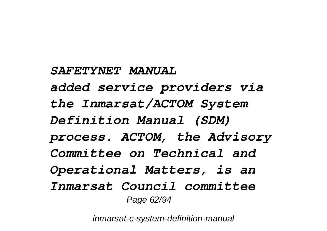#### *SAFETYNET MANUAL*

*added service providers via the Inmarsat/ACTOM System Definition Manual (SDM) process. ACTOM, the Advisory Committee on Technical and Operational Matters, is an Inmarsat Council committee* Page 62/94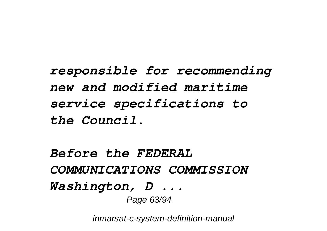*responsible for recommending new and modified maritime service specifications to the Council.*

*Before the FEDERAL COMMUNICATIONS COMMISSION Washington, D ...* Page 63/94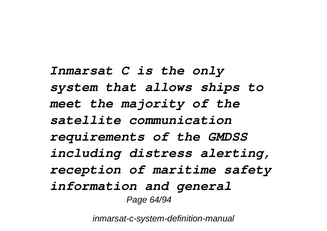*Inmarsat C is the only system that allows ships to meet the majority of the satellite communication requirements of the GMDSS including distress alerting, reception of maritime safety information and general* Page 64/94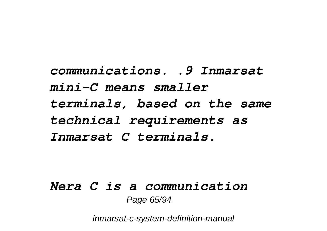*communications. .9 Inmarsat mini-C means smaller terminals, based on the same technical requirements as Inmarsat C terminals.*

## *Nera C is a communication* Page 65/94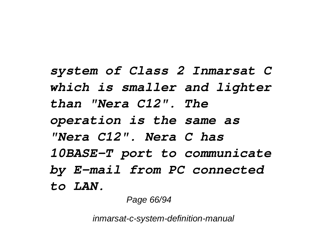*system of Class 2 Inmarsat C which is smaller and lighter than "Nera C12". The operation is the same as "Nera C12". Nera C has 10BASE-T port to communicate by E-mail from PC connected to LAN.*

Page 66/94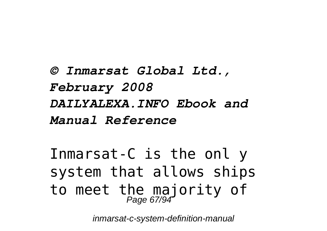*© Inmarsat Global Ltd., February 2008 DAILYALEXA.INFO Ebook and Manual Reference*

Inmarsat-C is the onl y system that allows ships to meet the majority of Page 67/94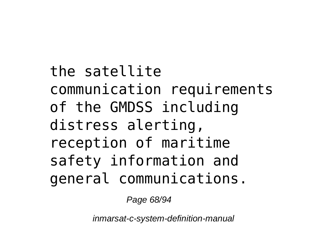the satellite communication requirements of the GMDSS including distress alerting, reception of maritime safety information and general communications.

Page 68/94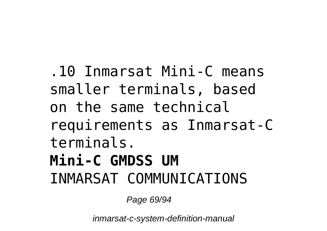.10 Inmarsat Mini-C means smaller terminals, based on the same technical requirements as Inmarsat-C terminals. **Mini-C GMDSS UM** INMARSAT COMMUNICATIONS

Page 69/94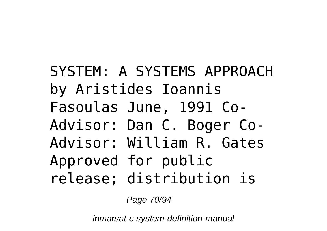SYSTEM: A SYSTEMS APPROACH by Aristides Ioannis Fasoulas June, 1991 Co-Advisor: Dan C. Boger Co-Advisor: William R. Gates Approved for public release; distribution is

Page 70/94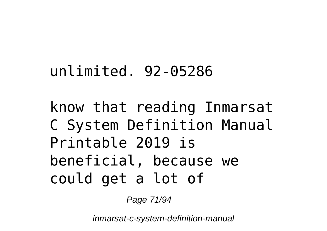# unlimited. 92-05286

# know that reading Inmarsat C System Definition Manual Printable 2019 is beneficial, because we could get a lot of

Page 71/94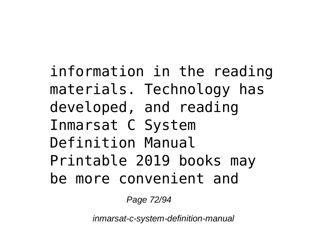information in the reading materials. Technology has developed, and reading Inmarsat C System Definition Manual Printable 2019 books may be more convenient and

Page 72/94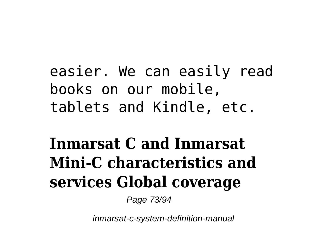#### easier. We can easily read books on our mobile, tablets and Kindle, etc.

## **Inmarsat C and Inmarsat Mini-C characteristics and services Global coverage**

Page 73/94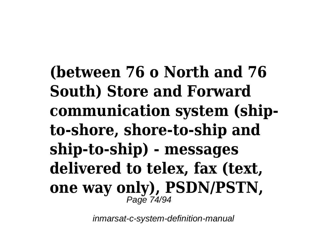**(between 76 o North and 76 South) Store and Forward communication system (shipto-shore, shore-to-ship and ship-to-ship) - messages delivered to telex, fax (text, one way only), PSDN/PSTN,** Page 74/94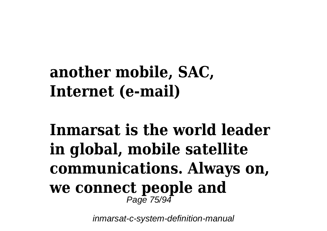### **another mobile, SAC, Internet (e-mail)**

# **Inmarsat is the world leader in global, mobile satellite communications. Always on, we connect people and** Page 75/94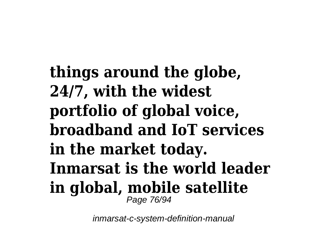**things around the globe, 24/7, with the widest portfolio of global voice, broadband and IoT services in the market today. Inmarsat is the world leader in global, mobile satellite** Page 76/94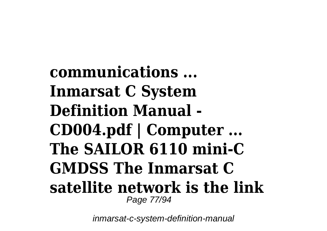**communications ... Inmarsat C System Definition Manual - CD004.pdf | Computer ... The SAILOR 6110 mini-C GMDSS The Inmarsat C satellite network is the link** Page 77/94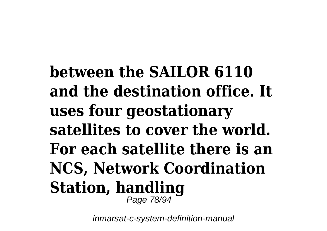**between the SAILOR 6110 and the destination office. It uses four geostationary satellites to cover the world. For each satellite there is an NCS, Network Coordination Station, handling** Page 78/94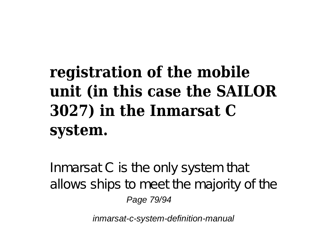# **registration of the mobile unit (in this case the SAILOR 3027) in the Inmarsat C system.**

Inmarsat C is the only system that allows ships to meet the majority of the Page 79/94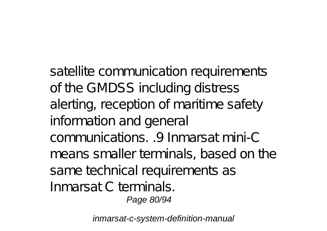satellite communication requirements of the GMDSS including distress alerting, reception of maritime safety information and general communications. .9 Inmarsat mini-C means smaller terminals, based on the same technical requirements as Inmarsat C terminals. Page 80/94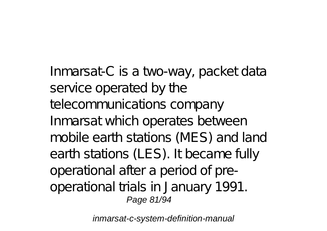Inmarsat-C is a two-way, packet data service operated by the telecommunications company Inmarsat which operates between mobile earth stations (MES) and land earth stations (LES). It became fully operational after a period of preoperational trials in January 1991. Page 81/94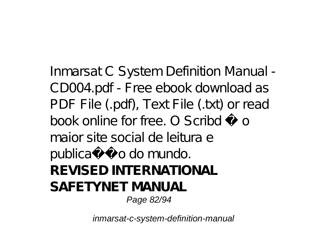Inmarsat C System Definition Manual - CD004.pdf - Free ebook download as PDF File (.pdf), Text File (.txt) or read book online for free. O Scribd é o maior site social de leitura e publicação do mundo. **REVISED INTERNATIONAL SAFETYNET MANUAL** Page 82/94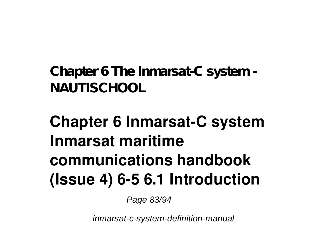**Chapter 6 The Inmarsat-C system - NAUTISCHOOL**

## **Chapter 6 Inmarsat-C system Inmarsat maritime communications handbook (Issue 4) 6-5 6.1 Introduction**

Page 83/94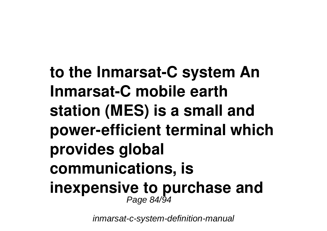**to the Inmarsat-C system An Inmarsat-C mobile earth station (MES) is a small and power-efficient terminal which provides global communications, is inexpensive to purchase and** Page 84/94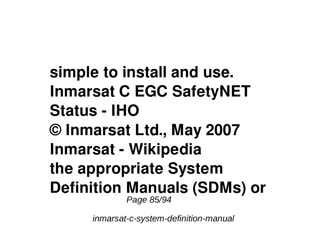**simple to install and use. Inmarsat C EGC SafetyNET Status - IHO © Inmarsat Ltd., May 2007 Inmarsat - Wikipedia the appropriate System Definition Manuals (SDMs) or** Page 85/94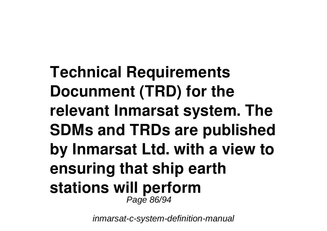**Technical Requirements Docunment (TRD) for the relevant Inmarsat system. The SDMs and TRDs are published by Inmarsat Ltd. with a view to ensuring that ship earth stations will perform**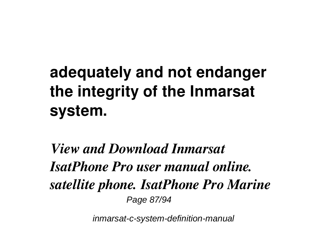# **adequately and not endanger the integrity of the Inmarsat system.**

*View and Download Inmarsat IsatPhone Pro user manual online. satellite phone. IsatPhone Pro Marine* Page 87/94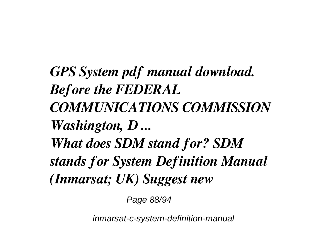*GPS System pdf manual download. Before the FEDERAL COMMUNICATIONS COMMISSION Washington, D ... What does SDM stand for? SDM stands for System Definition Manual (Inmarsat; UK) Suggest new*

Page 88/94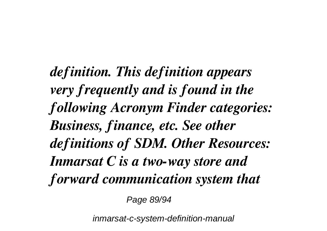*definition. This definition appears very frequently and is found in the following Acronym Finder categories: Business, finance, etc. See other definitions of SDM. Other Resources: Inmarsat C is a two-way store and forward communication system that*

Page 89/94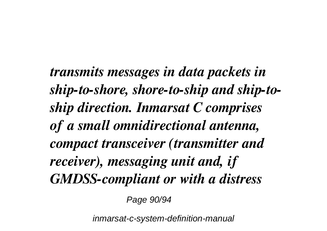*transmits messages in data packets in ship-to-shore, shore-to-ship and ship-toship direction. Inmarsat C comprises of a small omnidirectional antenna, compact transceiver (transmitter and receiver), messaging unit and, if GMDSS-compliant or with a distress*

Page 90/94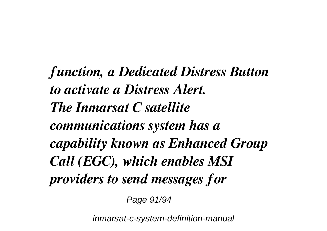*function, a Dedicated Distress Button to activate a Distress Alert. The Inmarsat C satellite communications system has a capability known as Enhanced Group Call (EGC), which enables MSI providers to send messages for*

Page 91/94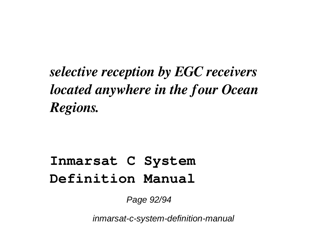#### *selective reception by EGC receivers located anywhere in the four Ocean Regions.*

#### **Inmarsat C System Definition Manual**

Page 92/94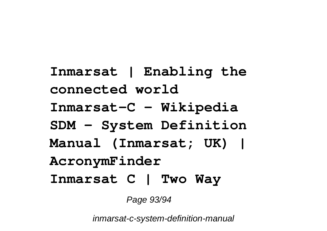**Inmarsat | Enabling the connected world Inmarsat-C - Wikipedia SDM - System Definition Manual (Inmarsat; UK) | AcronymFinder Inmarsat C | Two Way**

Page 93/94